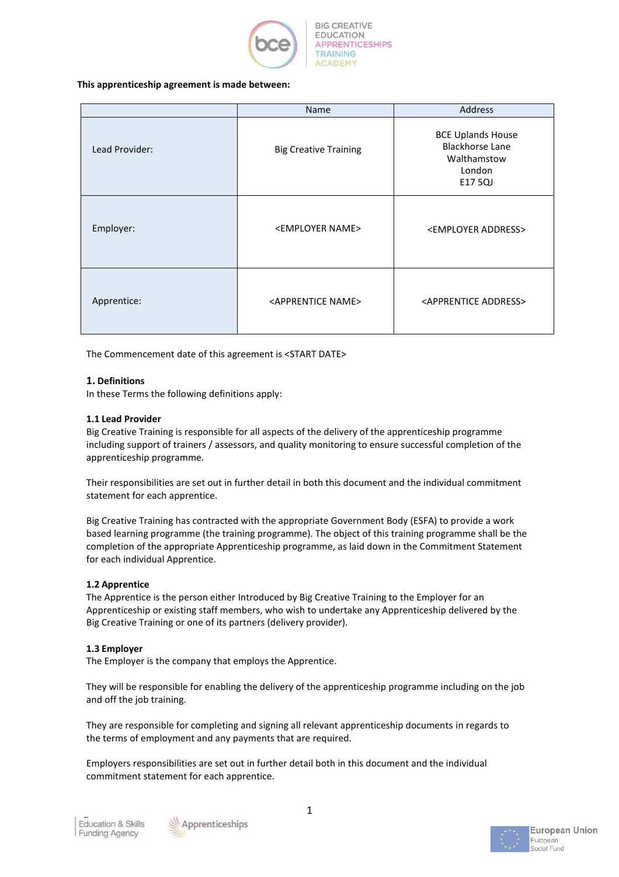

### **This apprenticeship agreement is made between:**

|                | <b>Address</b><br>Name            |                                                                                        |  |
|----------------|-----------------------------------|----------------------------------------------------------------------------------------|--|
| Lead Provider: | <b>Big Creative Training</b>      | <b>BCE Uplands House</b><br><b>Blackhorse Lane</b><br>Walthamstow<br>London<br>E17 5QJ |  |
| Employer:      | <employer name=""></employer>     | <employer address=""></employer>                                                       |  |
| Apprentice:    | <apprentice name=""></apprentice> | <apprentice address=""></apprentice>                                                   |  |

The Commencement date of this agreement is <START DATE>

## **1. Definitions**

In these Terms the following definitions apply:

### **1.1 Lead Provider**

Big Creative Training is responsible for all aspects of the delivery of the apprenticeship programme including support of trainers / assessors, and quality monitoring to ensure successful completion of the apprenticeship programme.

Their responsibilities are set out in further detail in both this document and the individual commitment statement for each apprentice.

Big Creative Training has contracted with the appropriate Government Body (ESFA) to provide a work based learning programme (the training programme). The object of this training programme shall be the completion of the appropriate Apprenticeship programme, as laid down in the Commitment Statement for each individual Apprentice.

### **1.2 Apprentice**

The Apprentice is the person either Introduced by Big Creative Training to the Employer for an Apprenticeship or existing staff members, who wish to undertake any Apprenticeship delivered by the Big Creative Training or one of its partners (delivery provider).

### **1.3 Employer**

The Employer is the company that employs the Apprentice.

They will be responsible for enabling the delivery of the apprenticeship programme including on the job and off the job training.

They are responsible for completing and signing all relevant apprenticeship documents in regards to the terms of employment and any payments that are required.

Employers responsibilities are set out in further detail both in this document and the individual commitment statement for each apprentice.



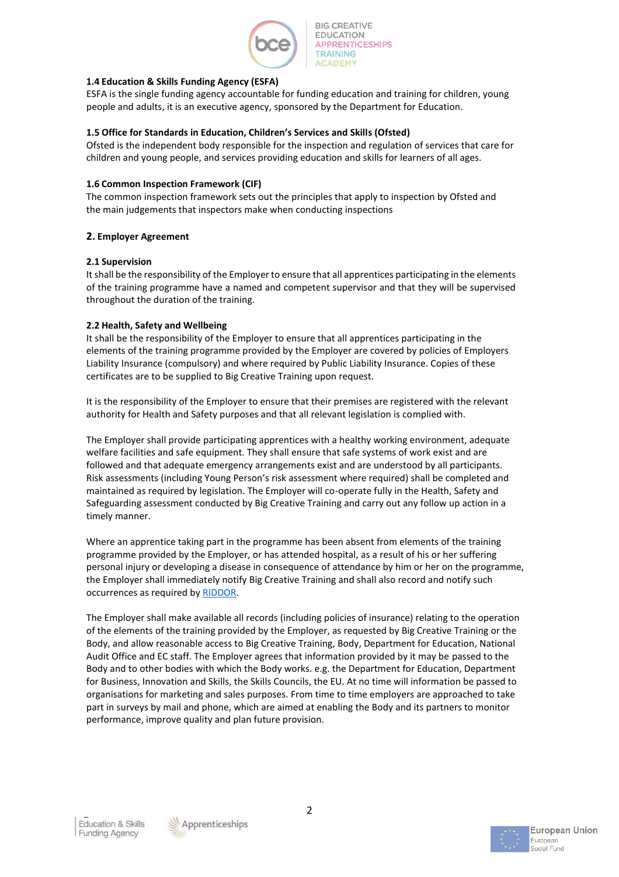

## **1.4 Education & Skills Funding Agency (ESFA)**

ESFA is the single funding agency accountable for funding education and training for children, young people and adults, it is an executive agency, sponsored by the Department for Education.

### **1.5 Office for Standards in Education, Children's Services and Skills (Ofsted)**

Ofsted is the independent body responsible for the inspection and regulation of services that care for children and young people, and services providing education and skills for learners of all ages.

### **1.6 Common Inspection Framework (CIF)**

The common inspection framework sets out the principles that apply to inspection by Ofsted and the main judgements that inspectors make when conducting inspections

## **2. Employer Agreement**

## **2.1 Supervision**

It shall be the responsibility of the Employer to ensure that all apprentices participating in the elements of the training programme have a named and competent supervisor and that they will be supervised throughout the duration of the training.

## **2.2 Health, Safety and Wellbeing**

It shall be the responsibility of the Employer to ensure that all apprentices participating in the elements of the training programme provided by the Employer are covered by policies of Employers Liability Insurance (compulsory) and where required by Public Liability Insurance. Copies of these certificates are to be supplied to Big Creative Training upon request.

It is the responsibility of the Employer to ensure that their premises are registered with the relevant authority for Health and Safety purposes and that all relevant legislation is complied with.

The Employer shall provide participating apprentices with a healthy working environment, adequate welfare facilities and safe equipment. They shall ensure that safe systems of work exist and are followed and that adequate emergency arrangements exist and are understood by all participants. Risk assessments (including Young Person's risk assessment where required) shall be completed and maintained as required by legislation. The Employer will co-operate fully in the Health, Safety and Safeguarding assessment conducted by Big Creative Training and carry out any follow up action in a timely manner.

Where an apprentice taking part in the programme has been absent from elements of the training programme provided by the Employer, or has attended hospital, as a result of his or her suffering personal injury or developing a disease in consequence of attendance by him or her on the programme, the Employer shall immediately notify Big Creative Training and shall also record and notify such occurrences as required by [RIDDOR.](http://www.hse.gov.uk/riddor/)

The Employer shall make available all records (including policies of insurance) relating to the operation of the elements of the training provided by the Employer, as requested by Big Creative Training or the Body, and allow reasonable access to Big Creative Training, Body, Department for Education, National Audit Office and EC staff. The Employer agrees that information provided by it may be passed to the Body and to other bodies with which the Body works. e.g. the Department for Education, Department for Business, Innovation and Skills, the Skills Councils, the EU. At no time will information be passed to organisations for marketing and sales purposes. From time to time employers are approached to take part in surveys by mail and phone, which are aimed at enabling the Body and its partners to monitor performance, improve quality and plan future provision.



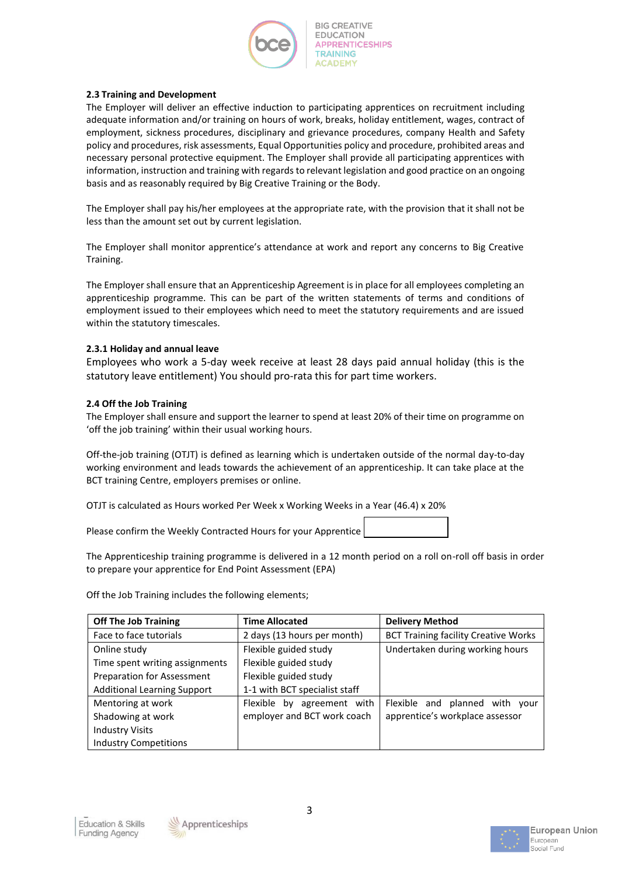

### **2.3 Training and Development**

The Employer will deliver an effective induction to participating apprentices on recruitment including adequate information and/or training on hours of work, breaks, holiday entitlement, wages, contract of employment, sickness procedures, disciplinary and grievance procedures, company Health and Safety policy and procedures, risk assessments, Equal Opportunities policy and procedure, prohibited areas and necessary personal protective equipment. The Employer shall provide all participating apprentices with information, instruction and training with regards to relevant legislation and good practice on an ongoing basis and as reasonably required by Big Creative Training or the Body.

The Employer shall pay his/her employees at the appropriate rate, with the provision that it shall not be less than the amount set out by current legislation.

The Employer shall monitor apprentice's attendance at work and report any concerns to Big Creative Training.

The Employer shall ensure that an Apprenticeship Agreement is in place for all employees completing an apprenticeship programme. This can be part of the written statements of terms and conditions of employment issued to their employees which need to meet the statutory requirements and are issued within the statutory timescales.

## **2.3.1 Holiday and annual leave**

Employees who work a 5-day week receive at least 28 days paid annual holiday (this is the statutory leave entitlement) You should pro-rata this for part time workers.

## **2.4 Off the Job Training**

The Employer shall ensure and support the learner to spend at least 20% of their time on programme on 'off the job training' within their usual working hours.

Off-the-job training (OTJT) is defined as learning which is undertaken outside of the normal day-to-day working environment and leads towards the achievement of an apprenticeship. It can take place at the BCT training Centre, employers premises or online.

OTJT is calculated as Hours worked Per Week x Working Weeks in a Year (46.4) x 20%

Please confirm the Weekly Contracted Hours for your Apprentice

The Apprenticeship training programme is delivered in a 12 month period on a roll on-roll off basis in order to prepare your apprentice for End Point Assessment (EPA)

Off the Job Training includes the following elements;

| <b>Off The Job Training</b>        | <b>Time Allocated</b>         | <b>Delivery Method</b>                      |
|------------------------------------|-------------------------------|---------------------------------------------|
| Face to face tutorials             | 2 days (13 hours per month)   | <b>BCT Training facility Creative Works</b> |
| Online study                       | Flexible guided study         | Undertaken during working hours             |
| Time spent writing assignments     | Flexible guided study         |                                             |
| Preparation for Assessment         | Flexible guided study         |                                             |
| <b>Additional Learning Support</b> | 1-1 with BCT specialist staff |                                             |
| Mentoring at work                  | Flexible<br>by agreement with | Flexible and planned with your              |
| Shadowing at work                  | employer and BCT work coach   | apprentice's workplace assessor             |
| <b>Industry Visits</b>             |                               |                                             |
| <b>Industry Competitions</b>       |                               |                                             |





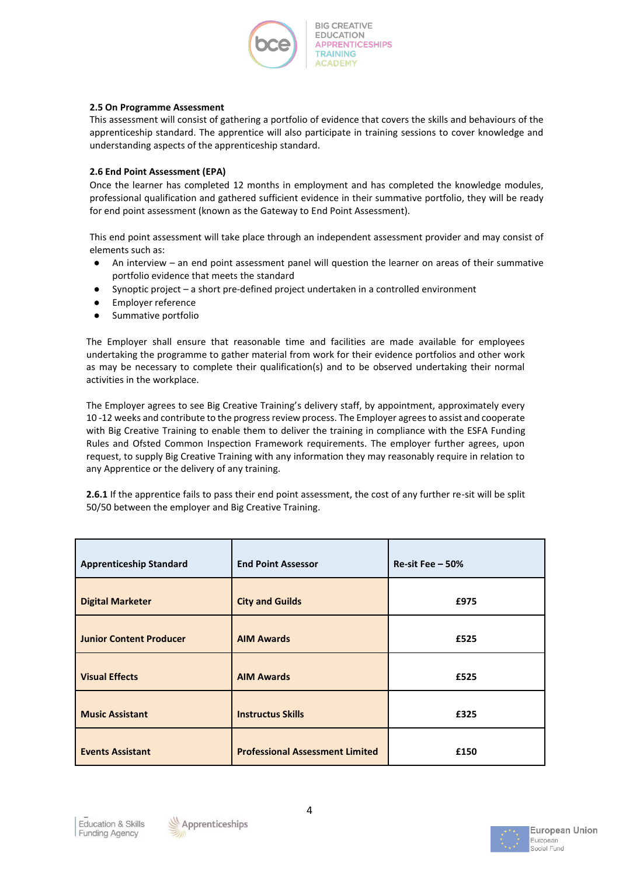

### **2.5 On Programme Assessment**

This assessment will consist of gathering a portfolio of evidence that covers the skills and behaviours of the apprenticeship standard. The apprentice will also participate in training sessions to cover knowledge and understanding aspects of the apprenticeship standard.

## **2.6 End Point Assessment (EPA)**

Once the learner has completed 12 months in employment and has completed the knowledge modules, professional qualification and gathered sufficient evidence in their summative portfolio, they will be ready for end point assessment (known as the Gateway to End Point Assessment).

This end point assessment will take place through an independent assessment provider and may consist of elements such as:

- An interview an end point assessment panel will question the learner on areas of their summative portfolio evidence that meets the standard
- Synoptic project a short pre-defined project undertaken in a controlled environment
- Employer reference
- Summative portfolio

The Employer shall ensure that reasonable time and facilities are made available for employees undertaking the programme to gather material from work for their evidence portfolios and other work as may be necessary to complete their qualification(s) and to be observed undertaking their normal activities in the workplace.

The Employer agrees to see Big Creative Training's delivery staff, by appointment, approximately every 10 -12 weeks and contribute to the progress review process. The Employer agrees to assist and cooperate with Big Creative Training to enable them to deliver the training in compliance with the ESFA Funding Rules and Ofsted Common Inspection Framework requirements. The employer further agrees, upon request, to supply Big Creative Training with any information they may reasonably require in relation to any Apprentice or the delivery of any training.

**2.6.1** If the apprentice fails to pass their end point assessment, the cost of any further re-sit will be split 50/50 between the employer and Big Creative Training.

| <b>Apprenticeship Standard</b> | <b>End Point Assessor</b>              | Re-sit Fee $-50%$ |
|--------------------------------|----------------------------------------|-------------------|
| <b>Digital Marketer</b>        | <b>City and Guilds</b>                 | £975              |
| <b>Junior Content Producer</b> | <b>AIM Awards</b>                      | £525              |
| <b>Visual Effects</b>          | <b>AIM Awards</b>                      | £525              |
| <b>Music Assistant</b>         | <b>Instructus Skills</b>               | £325              |
| <b>Events Assistant</b>        | <b>Professional Assessment Limited</b> | £150              |





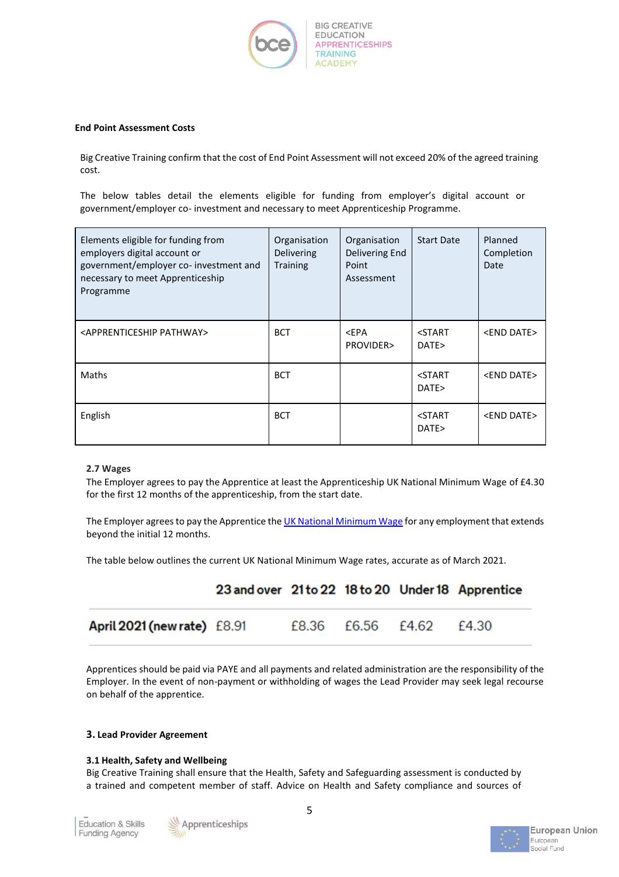

### **End Point Assessment Costs**

Big Creative Training confirm that the cost of End Point Assessment will not exceed 20% of the agreed training cost.

The below tables detail the elements eligible for funding from employer's digital account or government/employer co- investment and necessary to meet Apprenticeship Programme.

| Elements eligible for funding from<br>employers digital account or<br>government/employer co- investment and<br>necessary to meet Apprenticeship<br>Programme | Organisation<br>Delivering<br><b>Training</b> | Organisation<br>Delivering End<br>Point<br>Assessment | <b>Start Date</b>             | Planned<br>Completion<br>Date |
|---------------------------------------------------------------------------------------------------------------------------------------------------------------|-----------------------------------------------|-------------------------------------------------------|-------------------------------|-------------------------------|
| <apprenticeship pathway=""></apprenticeship>                                                                                                                  | <b>BCT</b>                                    | $<$ EPA<br>PROVIDER>                                  | <start<br>DATE&gt;</start<br> | <end date=""></end>           |
| Maths                                                                                                                                                         | <b>BCT</b>                                    |                                                       | <start<br>DATE&gt;</start<br> | <end date=""></end>           |
| English                                                                                                                                                       | <b>BCT</b>                                    |                                                       | <start<br>DATE&gt;</start<br> | <end date=""></end>           |

### **2.7 Wages**

The Employer agrees to pay the Apprentice at least the Apprenticeship UK National Minimum Wage of £4.30 for the first 12 months of the apprenticeship, from the start date.

The Employer agrees to pay the Apprentice th[e UK National Minimum Wage](https://www.gov.uk/national-minimum-wage-rates) for any employment that extends beyond the initial 12 months.

The table below outlines the current UK National Minimum Wage rates, accurate as of March 2021.

|                                    | 23 and over 21 to 22 18 to 20 Under 18 Apprentice |                   |       |
|------------------------------------|---------------------------------------------------|-------------------|-------|
| <b>April 2021 (new rate)</b> £8.91 |                                                   | £8.36 £6.56 £4.62 | £4.30 |

Apprentices should be paid via PAYE and all payments and related administration are the responsibility of the Employer. In the event of non-payment or withholding of wages the Lead Provider may seek legal recourse on behalf of the apprentice.

### **3. Lead Provider Agreement**

### **3.1 Health, Safety and Wellbeing**

Big Creative Training shall ensure that the Health, Safety and Safeguarding assessment is conducted by a trained and competent member of staff. Advice on Health and Safety compliance and sources of



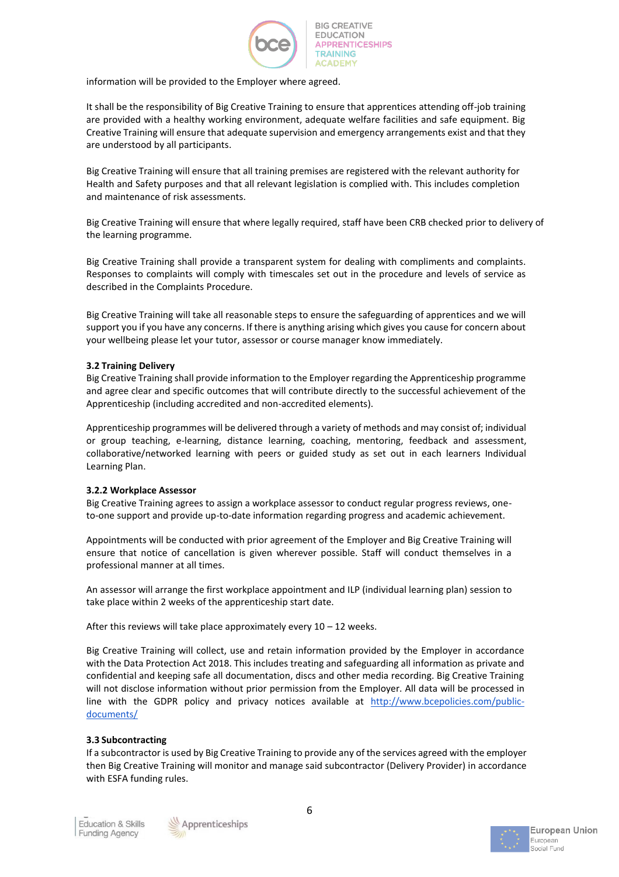

information will be provided to the Employer where agreed.

It shall be the responsibility of Big Creative Training to ensure that apprentices attending off-job training are provided with a healthy working environment, adequate welfare facilities and safe equipment. Big Creative Training will ensure that adequate supervision and emergency arrangements exist and that they are understood by all participants.

Big Creative Training will ensure that all training premises are registered with the relevant authority for Health and Safety purposes and that all relevant legislation is complied with. This includes completion and maintenance of risk assessments.

Big Creative Training will ensure that where legally required, staff have been CRB checked prior to delivery of the learning programme.

Big Creative Training shall provide a transparent system for dealing with compliments and complaints. Responses to complaints will comply with timescales set out in the procedure and levels of service as described in the Complaints Procedure.

Big Creative Training will take all reasonable steps to ensure the safeguarding of apprentices and we will support you if you have any concerns. If there is anything arising which gives you cause for concern about your wellbeing please let your tutor, assessor or course manager know immediately.

## **3.2 Training Delivery**

Big Creative Training shall provide information to the Employer regarding the Apprenticeship programme and agree clear and specific outcomes that will contribute directly to the successful achievement of the Apprenticeship (including accredited and non-accredited elements).

Apprenticeship programmes will be delivered through a variety of methods and may consist of; individual or group teaching, e-learning, distance learning, coaching, mentoring, feedback and assessment, collaborative/networked learning with peers or guided study as set out in each learners Individual Learning Plan.

### **3.2.2 Workplace Assessor**

Big Creative Training agrees to assign a workplace assessor to conduct regular progress reviews, oneto-one support and provide up-to-date information regarding progress and academic achievement.

Appointments will be conducted with prior agreement of the Employer and Big Creative Training will ensure that notice of cancellation is given wherever possible. Staff will conduct themselves in a professional manner at all times.

An assessor will arrange the first workplace appointment and ILP (individual learning plan) session to take place within 2 weeks of the apprenticeship start date.

After this reviews will take place approximately every  $10 - 12$  weeks.

Big Creative Training will collect, use and retain information provided by the Employer in accordance with the Data Protection Act 2018. This includes treating and safeguarding all information as private and confidential and keeping safe all documentation, discs and other media recording. Big Creative Training will not disclose information without prior permission from the Employer. All data will be processed in line with the GDPR policy and privacy notices available at [http://www.bcepolicies.com/public](http://www.bcepolicies.com/public-documents/)[documents/](http://www.bcepolicies.com/public-documents/)

### **3.3 Subcontracting**

If a subcontractor is used by Big Creative Training to provide any of the services agreed with the employer then Big Creative Training will monitor and manage said subcontractor (Delivery Provider) in accordance with ESFA funding rules.



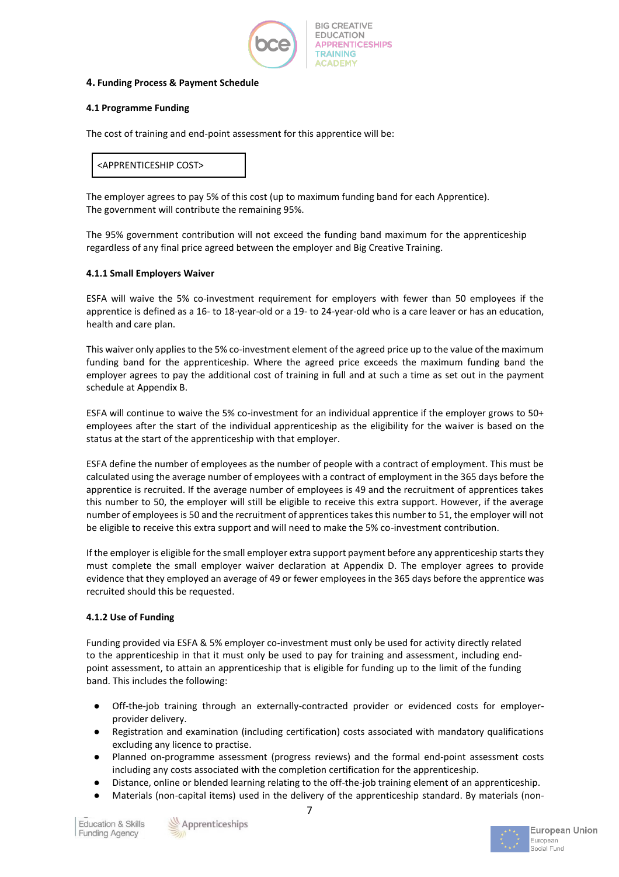

### **4. Funding Process & Payment Schedule**

## **4.1 Programme Funding**

The cost of training and end-point assessment for this apprentice will be:

# <APPRENTICESHIP COST>

The employer agrees to pay 5% of this cost (up to maximum funding band for each Apprentice). The government will contribute the remaining 95%.

The 95% government contribution will not exceed the funding band maximum for the apprenticeship regardless of any final price agreed between the employer and Big Creative Training.

## **4.1.1 Small Employers Waiver**

ESFA will waive the 5% co-investment requirement for employers with fewer than 50 employees if the apprentice is defined as a 16- to 18-year-old or a 19- to 24-year-old who is a care leaver or has an education, health and care plan.

This waiver only applies to the 5% co-investment element of the agreed price up to the value of the maximum funding band for the apprenticeship. Where the agreed price exceeds the maximum funding band the employer agrees to pay the additional cost of training in full and at such a time as set out in the payment schedule at Appendix B.

ESFA will continue to waive the 5% co-investment for an individual apprentice if the employer grows to 50+ employees after the start of the individual apprenticeship as the eligibility for the waiver is based on the status at the start of the apprenticeship with that employer.

ESFA define the number of employees as the number of people with a contract of employment. This must be calculated using the average number of employees with a contract of employment in the 365 days before the apprentice is recruited. If the average number of employees is 49 and the recruitment of apprentices takes this number to 50, the employer will still be eligible to receive this extra support. However, if the average number of employees is 50 and the recruitment of apprentices takes this number to 51, the employer will not be eligible to receive this extra support and will need to make the 5% co-investment contribution.

If the employer is eligible for the small employer extra support payment before any apprenticeship starts they must complete the small employer waiver declaration at Appendix D. The employer agrees to provide evidence that they employed an average of 49 or fewer employees in the 365 days before the apprentice was recruited should this be requested.

## **4.1.2 Use of Funding**

Funding provided via ESFA & 5% employer co-investment must only be used for activity directly related to the apprenticeship in that it must only be used to pay for training and assessment, including endpoint assessment, to attain an apprenticeship that is eligible for funding up to the limit of the funding band. This includes the following:

- Off-the-job training through an externally-contracted provider or evidenced costs for employerprovider delivery.
- Registration and examination (including certification) costs associated with mandatory qualifications excluding any licence to practise.
- Planned on-programme assessment (progress reviews) and the formal end-point assessment costs including any costs associated with the completion certification for the apprenticeship.
- Distance, online or blended learning relating to the off-the-job training element of an apprenticeship.
- Materials (non-capital items) used in the delivery of the apprenticeship standard. By materials (non-



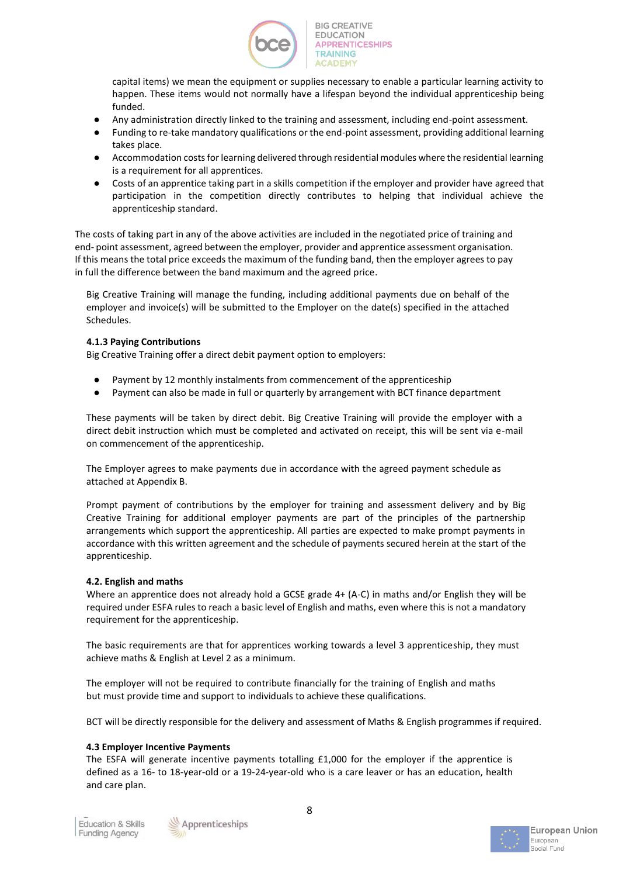

capital items) we mean the equipment or supplies necessary to enable a particular learning activity to happen. These items would not normally have a lifespan beyond the individual apprenticeship being funded.

- Any administration directly linked to the training and assessment, including end-point assessment.
- Funding to re-take mandatory qualifications or the end-point assessment, providing additional learning takes place.
- Accommodation costs for learning delivered through residential modules where the residential learning is a requirement for all apprentices.
- Costs of an apprentice taking part in a skills competition if the employer and provider have agreed that participation in the competition directly contributes to helping that individual achieve the apprenticeship standard.

The costs of taking part in any of the above activities are included in the negotiated price of training and end- point assessment, agreed between the employer, provider and apprentice assessment organisation. If this means the total price exceeds the maximum of the funding band, then the employer agrees to pay in full the difference between the band maximum and the agreed price.

Big Creative Training will manage the funding, including additional payments due on behalf of the employer and invoice(s) will be submitted to the Employer on the date(s) specified in the attached Schedules.

## **4.1.3 Paying Contributions**

Big Creative Training offer a direct debit payment option to employers:

- Payment by 12 monthly instalments from commencement of the apprenticeship
- Payment can also be made in full or quarterly by arrangement with BCT finance department

These payments will be taken by direct debit. Big Creative Training will provide the employer with a direct debit instruction which must be completed and activated on receipt, this will be sent via e-mail on commencement of the apprenticeship.

The Employer agrees to make payments due in accordance with the agreed payment schedule as attached at Appendix B.

Prompt payment of contributions by the employer for training and assessment delivery and by Big Creative Training for additional employer payments are part of the principles of the partnership arrangements which support the apprenticeship. All parties are expected to make prompt payments in accordance with this written agreement and the schedule of payments secured herein at the start of the apprenticeship.

## **4.2. English and maths**

Where an apprentice does not already hold a GCSE grade 4+ (A-C) in maths and/or English they will be required under ESFA rules to reach a basic level of English and maths, even where this is not a mandatory requirement for the apprenticeship.

The basic requirements are that for apprentices working towards a level 3 apprenticeship, they must achieve maths & English at Level 2 as a minimum.

The employer will not be required to contribute financially for the training of English and maths but must provide time and support to individuals to achieve these qualifications.

BCT will be directly responsible for the delivery and assessment of Maths & English programmes if required.

## **4.3 Employer Incentive Payments**

The ESFA will generate incentive payments totalling £1,000 for the employer if the apprentice is defined as a 16- to 18-year-old or a 19-24-year-old who is a care leaver or has an education, health and care plan.



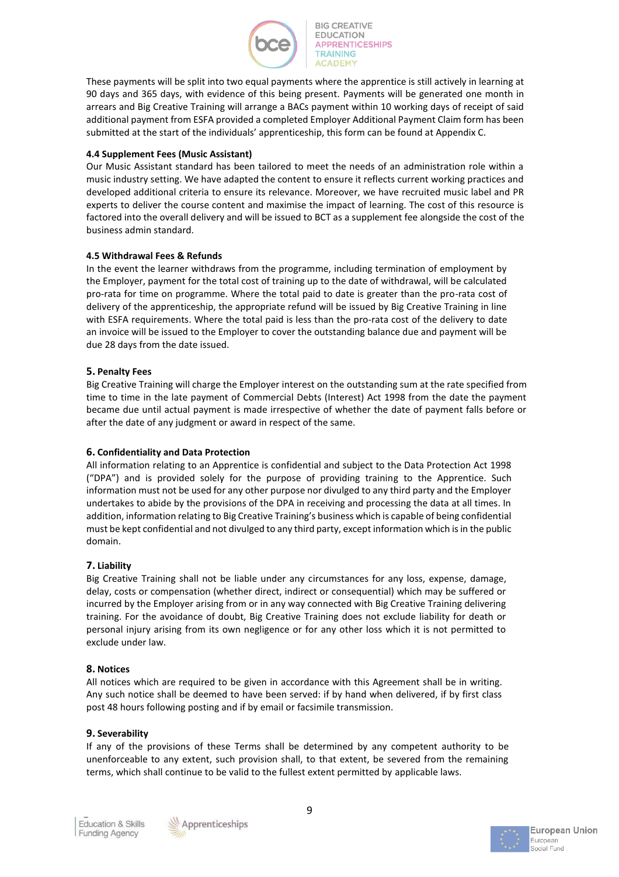

These payments will be split into two equal payments where the apprentice is still actively in learning at 90 days and 365 days, with evidence of this being present. Payments will be generated one month in arrears and Big Creative Training will arrange a BACs payment within 10 working days of receipt of said additional payment from ESFA provided a completed Employer Additional Payment Claim form has been submitted at the start of the individuals' apprenticeship, this form can be found at Appendix C.

## **4.4 Supplement Fees (Music Assistant)**

Our Music Assistant standard has been tailored to meet the needs of an administration role within a music industry setting. We have adapted the content to ensure it reflects current working practices and developed additional criteria to ensure its relevance. Moreover, we have recruited music label and PR experts to deliver the course content and maximise the impact of learning. The cost of this resource is factored into the overall delivery and will be issued to BCT as a supplement fee alongside the cost of the business admin standard.

## **4.5 Withdrawal Fees & Refunds**

In the event the learner withdraws from the programme, including termination of employment by the Employer, payment for the total cost of training up to the date of withdrawal, will be calculated pro-rata for time on programme. Where the total paid to date is greater than the pro-rata cost of delivery of the apprenticeship, the appropriate refund will be issued by Big Creative Training in line with ESFA requirements. Where the total paid is less than the pro-rata cost of the delivery to date an invoice will be issued to the Employer to cover the outstanding balance due and payment will be due 28 days from the date issued.

## **5. Penalty Fees**

Big Creative Training will charge the Employer interest on the outstanding sum at the rate specified from time to time in the late payment of Commercial Debts (Interest) Act 1998 from the date the payment became due until actual payment is made irrespective of whether the date of payment falls before or after the date of any judgment or award in respect of the same.

## **6. Confidentiality and Data Protection**

All information relating to an Apprentice is confidential and subject to the Data Protection Act 1998 ("DPA") and is provided solely for the purpose of providing training to the Apprentice. Such information must not be used for any other purpose nor divulged to any third party and the Employer undertakes to abide by the provisions of the DPA in receiving and processing the data at all times. In addition, information relating to Big Creative Training's business which is capable of being confidential must be kept confidential and not divulged to any third party, except information which is in the public domain.

## **7. Liability**

Big Creative Training shall not be liable under any circumstances for any loss, expense, damage, delay, costs or compensation (whether direct, indirect or consequential) which may be suffered or incurred by the Employer arising from or in any way connected with Big Creative Training delivering training. For the avoidance of doubt, Big Creative Training does not exclude liability for death or personal injury arising from its own negligence or for any other loss which it is not permitted to exclude under law.

### **8. Notices**

All notices which are required to be given in accordance with this Agreement shall be in writing. Any such notice shall be deemed to have been served: if by hand when delivered, if by first class post 48 hours following posting and if by email or facsimile transmission.

### **9. Severability**

If any of the provisions of these Terms shall be determined by any competent authority to be unenforceable to any extent, such provision shall, to that extent, be severed from the remaining terms, which shall continue to be valid to the fullest extent permitted by applicable laws.



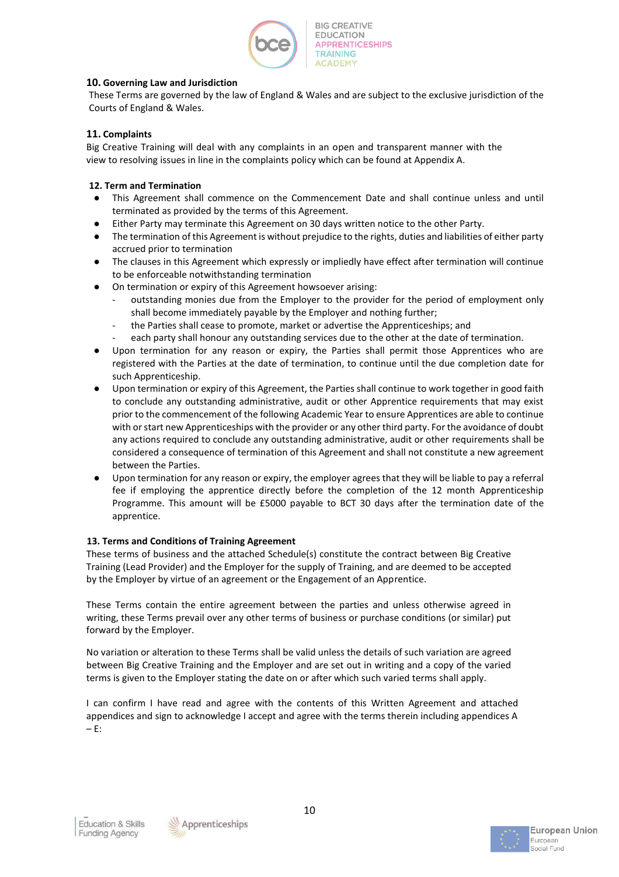

## **10. Governing Law and Jurisdiction**

These Terms are governed by the law of England & Wales and are subject to the exclusive jurisdiction of the Courts of England & Wales.

## **11. Complaints**

Big Creative Training will deal with any complaints in an open and transparent manner with the view to resolving issues in line in the complaints policy which can be found at Appendix A.

## **12. Term and Termination**

- This Agreement shall commence on the Commencement Date and shall continue unless and until terminated as provided by the terms of this Agreement.
- Either Party may terminate this Agreement on 30 days written notice to the other Party.
- The termination of this Agreement is without prejudice to the rights, duties and liabilities of either party accrued prior to termination
- The clauses in this Agreement which expressly or impliedly have effect after termination will continue to be enforceable notwithstanding termination
- On termination or expiry of this Agreement howsoever arising:
	- outstanding monies due from the Employer to the provider for the period of employment only shall become immediately payable by the Employer and nothing further;
	- the Parties shall cease to promote, market or advertise the Apprenticeships; and
	- each party shall honour any outstanding services due to the other at the date of termination.
- Upon termination for any reason or expiry, the Parties shall permit those Apprentices who are registered with the Parties at the date of termination, to continue until the due completion date for such Apprenticeship.
- Upon termination or expiry of this Agreement, the Parties shall continue to work together in good faith to conclude any outstanding administrative, audit or other Apprentice requirements that may exist prior to the commencement of the following Academic Year to ensure Apprentices are able to continue with or start new Apprenticeships with the provider or any other third party. For the avoidance of doubt any actions required to conclude any outstanding administrative, audit or other requirements shall be considered a consequence of termination of this Agreement and shall not constitute a new agreement between the Parties.
- Upon termination for any reason or expiry, the employer agrees that they will be liable to pay a referral fee if employing the apprentice directly before the completion of the 12 month Apprenticeship Programme. This amount will be £5000 payable to BCT 30 days after the termination date of the apprentice.

## **13. Terms and Conditions of Training Agreement**

These terms of business and the attached Schedule(s) constitute the contract between Big Creative Training (Lead Provider) and the Employer for the supply of Training, and are deemed to be accepted by the Employer by virtue of an agreement or the Engagement of an Apprentice.

These Terms contain the entire agreement between the parties and unless otherwise agreed in writing, these Terms prevail over any other terms of business or purchase conditions (or similar) put forward by the Employer.

No variation or alteration to these Terms shall be valid unless the details of such variation are agreed between Big Creative Training and the Employer and are set out in writing and a copy of the varied terms is given to the Employer stating the date on or after which such varied terms shall apply.

I can confirm I have read and agree with the contents of this Written Agreement and attached appendices and sign to acknowledge I accept and agree with the terms therein including appendices A – E:



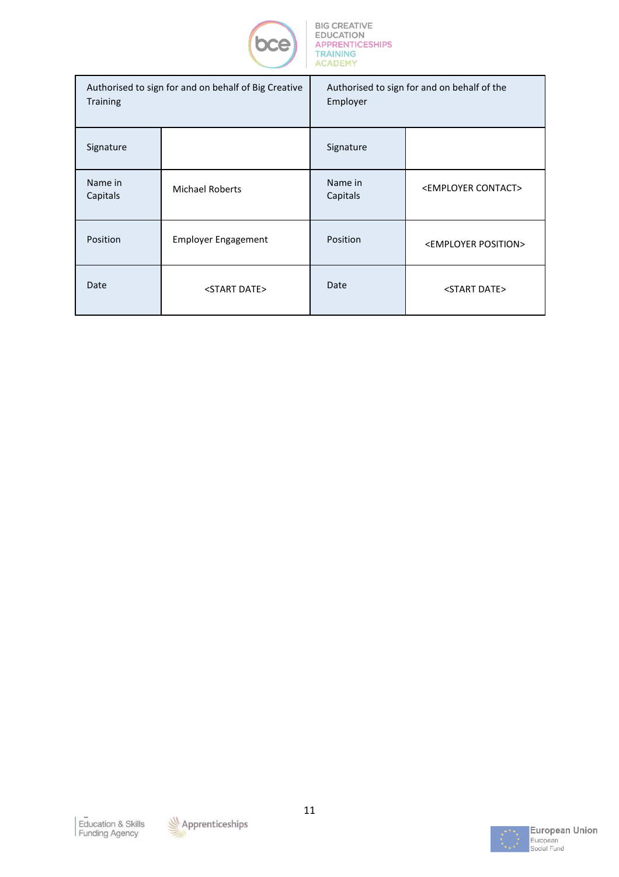

| Authorised to sign for and on behalf of Big Creative<br><b>Training</b> |                            | Authorised to sign for and on behalf of the<br>Employer |                                   |  |
|-------------------------------------------------------------------------|----------------------------|---------------------------------------------------------|-----------------------------------|--|
| Signature                                                               |                            | Signature                                               |                                   |  |
| Name in<br>Capitals                                                     | <b>Michael Roberts</b>     | Name in<br>Capitals                                     | <employer contact=""></employer>  |  |
| Position                                                                | <b>Employer Engagement</b> | Position                                                | <employer position=""></employer> |  |
| Date                                                                    | <start date=""></start>    | Date                                                    | <start date=""></start>           |  |



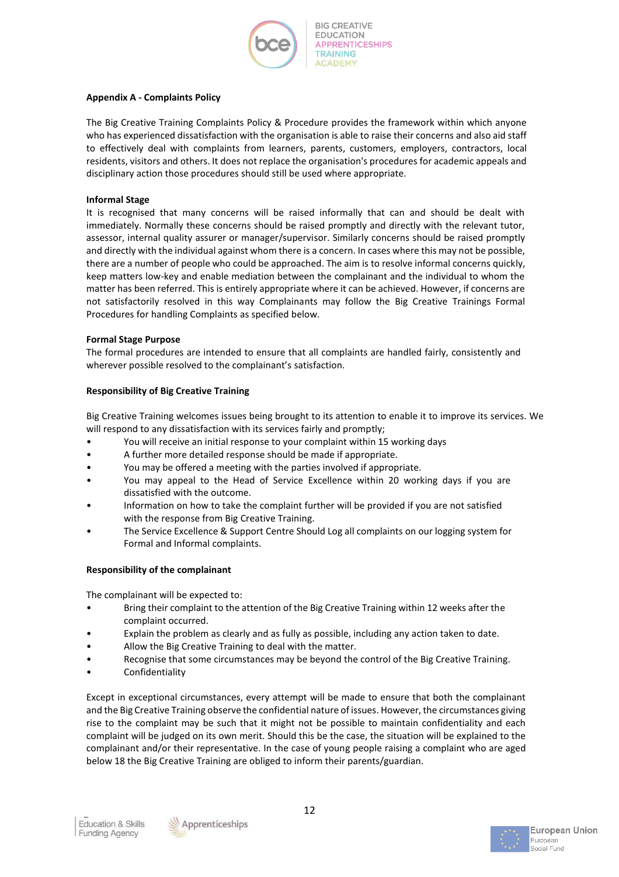

### **Appendix A - Complaints Policy**

The Big Creative Training Complaints Policy & Procedure provides the framework within which anyone who has experienced dissatisfaction with the organisation is able to raise their concerns and also aid staff to effectively deal with complaints from learners, parents, customers, employers, contractors, local residents, visitors and others. It does not replace the organisation's procedures for academic appeals and disciplinary action those procedures should still be used where appropriate.

## **Informal Stage**

It is recognised that many concerns will be raised informally that can and should be dealt with immediately. Normally these concerns should be raised promptly and directly with the relevant tutor, assessor, internal quality assurer or manager/supervisor. Similarly concerns should be raised promptly and directly with the individual against whom there is a concern. In cases where this may not be possible, there are a number of people who could be approached. The aim is to resolve informal concerns quickly, keep matters low-key and enable mediation between the complainant and the individual to whom the matter has been referred. This is entirely appropriate where it can be achieved. However, if concerns are not satisfactorily resolved in this way Complainants may follow the Big Creative Trainings Formal Procedures for handling Complaints as specified below.

### **Formal Stage Purpose**

The formal procedures are intended to ensure that all complaints are handled fairly, consistently and wherever possible resolved to the complainant's satisfaction.

## **Responsibility of Big Creative Training**

Big Creative Training welcomes issues being brought to its attention to enable it to improve its services. We will respond to any dissatisfaction with its services fairly and promptly;

- You will receive an initial response to your complaint within 15 working days
- A further more detailed response should be made if appropriate.
- You may be offered a meeting with the parties involved if appropriate.
- You may appeal to the Head of Service Excellence within 20 working days if you are dissatisfied with the outcome.
- Information on how to take the complaint further will be provided if you are not satisfied with the response from Big Creative Training.
- The Service Excellence & Support Centre Should Log all complaints on our logging system for Formal and Informal complaints.

### **Responsibility of the complainant**

The complainant will be expected to:

- Bring their complaint to the attention of the Big Creative Training within 12 weeks after the complaint occurred.
- Explain the problem as clearly and as fully as possible, including any action taken to date.
- Allow the Big Creative Training to deal with the matter.
- Recognise that some circumstances may be beyond the control of the Big Creative Training.
- **Confidentiality**

Except in exceptional circumstances, every attempt will be made to ensure that both the complainant and the Big Creative Training observe the confidential nature of issues. However, the circumstances giving rise to the complaint may be such that it might not be possible to maintain confidentiality and each complaint will be judged on its own merit. Should this be the case, the situation will be explained to the complainant and/or their representative. In the case of young people raising a complaint who are aged below 18 the Big Creative Training are obliged to inform their parents/guardian.



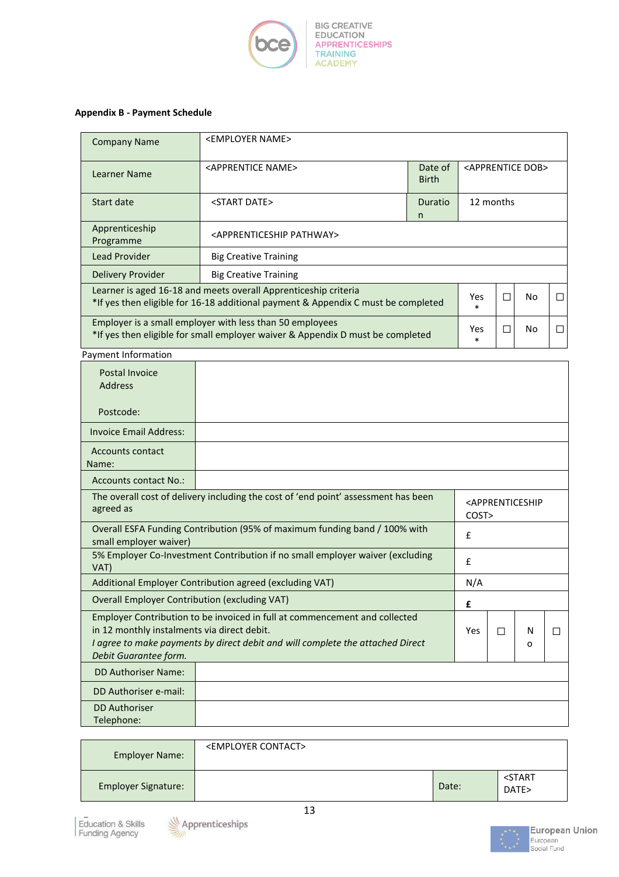

## **Appendix B - Payment Schedule**

| <b>Company Name</b>                                                                                                                                                           | <employer name=""></employer>                |                           |  |              |                                  |  |
|-------------------------------------------------------------------------------------------------------------------------------------------------------------------------------|----------------------------------------------|---------------------------|--|--------------|----------------------------------|--|
| Learner Name                                                                                                                                                                  | <apprentice name=""></apprentice>            | Date of<br><b>Birth</b>   |  |              | <apprentice dob=""></apprentice> |  |
| Start date                                                                                                                                                                    | <start date=""></start>                      | 12 months<br>Duratio<br>n |  |              |                                  |  |
| Apprenticeship<br>Programme                                                                                                                                                   | <apprenticeship pathway=""></apprenticeship> |                           |  |              |                                  |  |
| <b>Lead Provider</b>                                                                                                                                                          | <b>Big Creative Training</b>                 |                           |  |              |                                  |  |
| Delivery Provider                                                                                                                                                             | <b>Big Creative Training</b>                 |                           |  |              |                                  |  |
| Learner is aged 16-18 and meets overall Apprenticeship criteria<br>Yes.<br>No.<br>*If yes then eligible for 16-18 additional payment & Appendix C must be completed<br>$\ast$ |                                              |                           |  | $\mathsf{L}$ |                                  |  |
| Employer is a small employer with less than 50 employees<br>*If yes then eligible for small employer waiver & Appendix D must be completed                                    |                                              |                           |  |              | No.                              |  |

Payment Information

| Postal Invoice<br><b>Address</b>                                                                                     |                                                                                                                                                              |      |                                                             |        |   |
|----------------------------------------------------------------------------------------------------------------------|--------------------------------------------------------------------------------------------------------------------------------------------------------------|------|-------------------------------------------------------------|--------|---|
| Postcode:                                                                                                            |                                                                                                                                                              |      |                                                             |        |   |
| <b>Invoice Email Address:</b>                                                                                        |                                                                                                                                                              |      |                                                             |        |   |
| <b>Accounts contact</b><br>Name:                                                                                     |                                                                                                                                                              |      |                                                             |        |   |
| Accounts contact No.:                                                                                                |                                                                                                                                                              |      |                                                             |        |   |
| agreed as                                                                                                            | The overall cost of delivery including the cost of 'end point' assessment has been                                                                           | COST | <apprenticeship< td=""><td></td><td></td></apprenticeship<> |        |   |
| Overall ESFA Funding Contribution (95% of maximum funding band / 100% with<br>$\mathbf{f}$<br>small employer waiver) |                                                                                                                                                              |      |                                                             |        |   |
| VAT)                                                                                                                 | 5% Employer Co-Investment Contribution if no small employer waiver (excluding<br>£                                                                           |      |                                                             |        |   |
|                                                                                                                      | Additional Employer Contribution agreed (excluding VAT)                                                                                                      | N/A  |                                                             |        |   |
| <b>Overall Employer Contribution (excluding VAT)</b>                                                                 |                                                                                                                                                              | £    |                                                             |        |   |
| in 12 monthly instalments via direct debit.<br>Debit Guarantee form.                                                 | Employer Contribution to be invoiced in full at commencement and collected<br>I agree to make payments by direct debit and will complete the attached Direct | Yes  | П                                                           | N<br>O | П |
| <b>DD Authoriser Name:</b>                                                                                           |                                                                                                                                                              |      |                                                             |        |   |
| DD Authoriser e-mail:                                                                                                |                                                                                                                                                              |      |                                                             |        |   |
| <b>DD Authoriser</b><br>Telephone:                                                                                   |                                                                                                                                                              |      |                                                             |        |   |

| Employer Name:             | <employer contact=""></employer> |       |                               |
|----------------------------|----------------------------------|-------|-------------------------------|
| <b>Employer Signature:</b> |                                  | Date: | <start<br>DATE&gt;</start<br> |

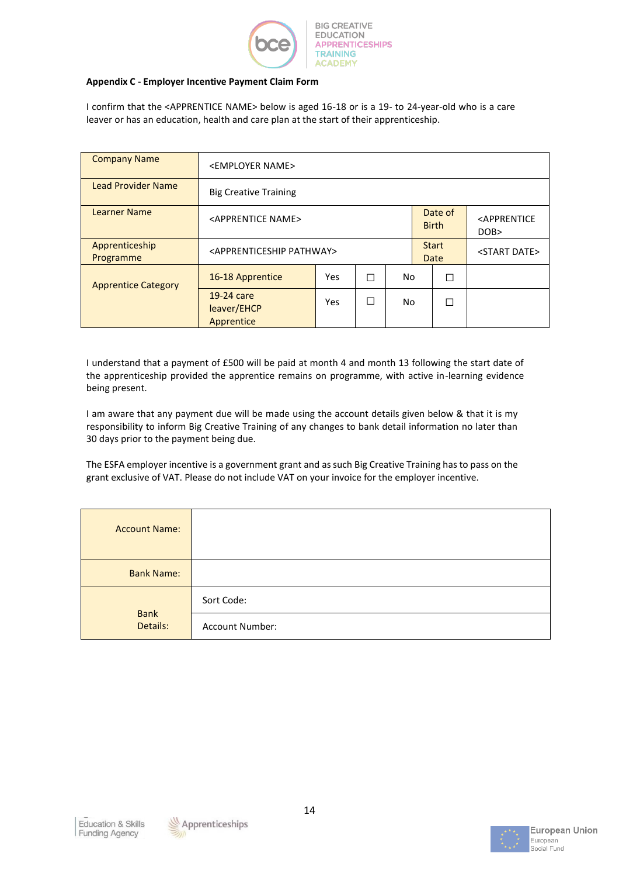

### **Appendix C - Employer Incentive Payment Claim Form**

I confirm that the <APPRENTICE NAME> below is aged 16-18 or is a 19- to 24-year-old who is a care leaver or has an education, health and care plan at the start of their apprenticeship.

| <b>Company Name</b>         | <employer name=""></employer>                |     |   |    |  |                         |                                        |
|-----------------------------|----------------------------------------------|-----|---|----|--|-------------------------|----------------------------------------|
| <b>Lead Provider Name</b>   | <b>Big Creative Training</b>                 |     |   |    |  |                         |                                        |
| <b>Learner Name</b>         | <apprentice name=""></apprentice>            |     |   |    |  | Date of<br><b>Birth</b> | <apprentice<br>DOB&gt;</apprentice<br> |
| Apprenticeship<br>Programme | <apprenticeship pathway=""></apprenticeship> |     |   |    |  | <b>Start</b><br>Date    | <start date=""></start>                |
| <b>Apprentice Category</b>  | 16-18 Apprentice                             | Yes | П | No |  | П                       |                                        |
|                             | 19-24 care<br>leaver/EHCP<br>Apprentice      | Yes | П | No |  |                         |                                        |

I understand that a payment of £500 will be paid at month 4 and month 13 following the start date of the apprenticeship provided the apprentice remains on programme, with active in-learning evidence being present.

I am aware that any payment due will be made using the account details given below & that it is my responsibility to inform Big Creative Training of any changes to bank detail information no later than 30 days prior to the payment being due.

The ESFA employer incentive is a government grant and as such Big Creative Training has to pass on the grant exclusive of VAT. Please do not include VAT on your invoice for the employer incentive.

| <b>Account Name:</b>    |                 |
|-------------------------|-----------------|
| <b>Bank Name:</b>       |                 |
|                         | Sort Code:      |
| <b>Bank</b><br>Details: | Account Number: |



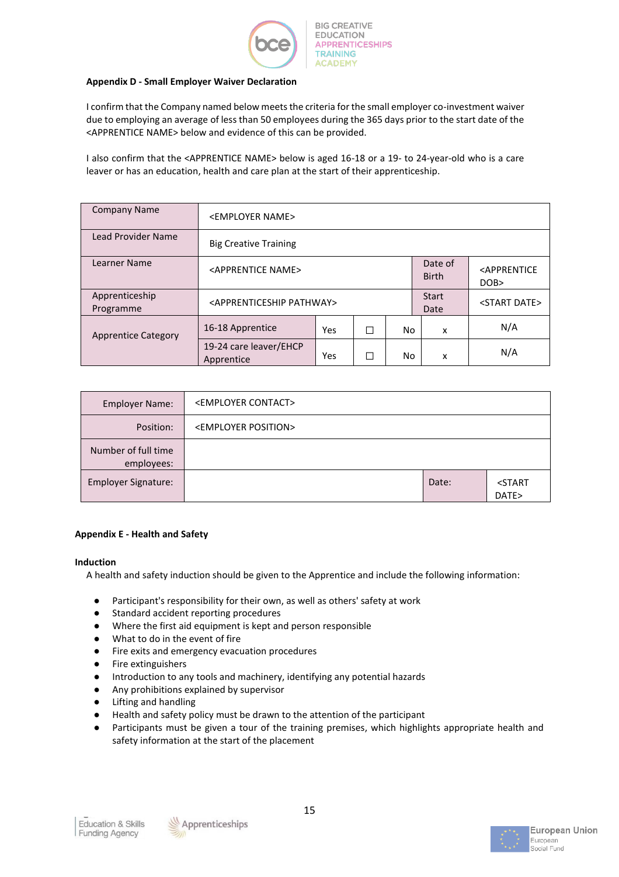

### **Appendix D - Small Employer Waiver Declaration**

I confirm that the Company named below meets the criteria for the small employer co-investment waiver due to employing an average of less than 50 employees during the 365 days prior to the start date of the <APPRENTICE NAME> below and evidence of this can be provided.

I also confirm that the <APPRENTICE NAME> below is aged 16-18 or a 19- to 24-year-old who is a care leaver or has an education, health and care plan at the start of their apprenticeship.

| <b>Company Name</b>         | <employer name=""></employer>                |     |   |     |                         |                                    |
|-----------------------------|----------------------------------------------|-----|---|-----|-------------------------|------------------------------------|
| Lead Provider Name          | <b>Big Creative Training</b>                 |     |   |     |                         |                                    |
| Learner Name                | <apprentice name=""></apprentice>            |     |   |     | Date of<br><b>Birth</b> | <apprentice<br>DOB</apprentice<br> |
| Apprenticeship<br>Programme | <apprenticeship pathway=""></apprenticeship> |     |   |     | <b>Start</b><br>Date    | <start date=""></start>            |
| <b>Apprentice Category</b>  | 16-18 Apprentice                             | Yes | П | No. | x                       | N/A                                |
|                             | 19-24 care leaver/EHCP<br>Apprentice         | Yes | П | No  | x                       | N/A                                |

| <b>Employer Name:</b>             | <employer contact=""></employer>  |       |                               |
|-----------------------------------|-----------------------------------|-------|-------------------------------|
| Position:                         | <employer position=""></employer> |       |                               |
| Number of full time<br>employees: |                                   |       |                               |
| <b>Employer Signature:</b>        |                                   | Date: | <start<br>DATE&gt;</start<br> |

## **Appendix E - Health and Safety**

### **Induction**

A health and safety induction should be given to the Apprentice and include the following information:

- Participant's responsibility for their own, as well as others' safety at work
- Standard accident reporting procedures
- Where the first aid equipment is kept and person responsible
- What to do in the event of fire
- Fire exits and emergency evacuation procedures
- Fire extinguishers
- Introduction to any tools and machinery, identifying any potential hazards
- Any prohibitions explained by supervisor
- Lifting and handling
- Health and safety policy must be drawn to the attention of the participant
- Participants must be given a tour of the training premises, which highlights appropriate health and safety information at the start of the placement



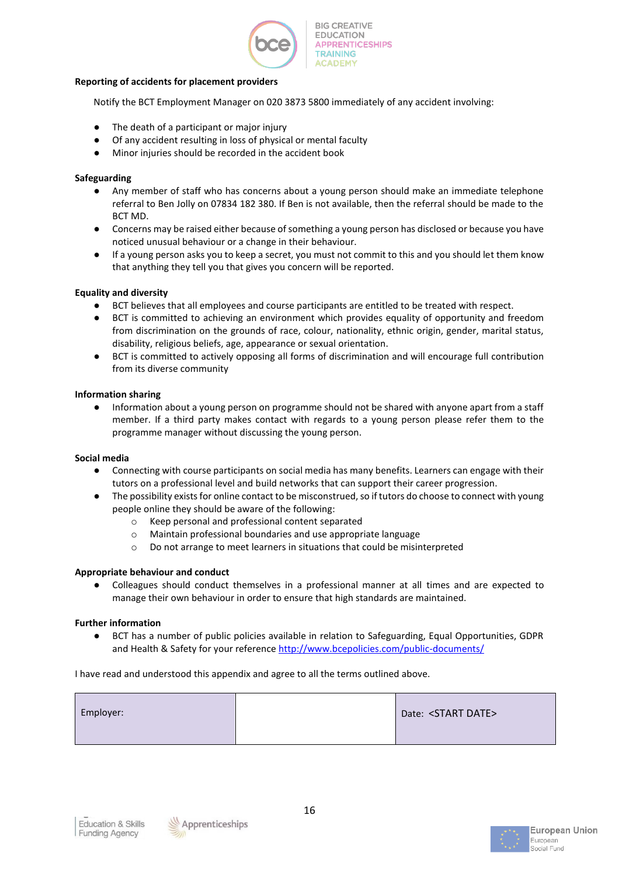

#### **Reporting of accidents for placement providers**

Notify the BCT Employment Manager on 020 3873 5800 immediately of any accident involving:

- The death of a participant or major injury
- Of any accident resulting in loss of physical or mental faculty
- Minor injuries should be recorded in the accident book

### **Safeguarding**

- Any member of staff who has concerns about a young person should make an immediate telephone referral to Ben Jolly on 07834 182 380. If Ben is not available, then the referral should be made to the BCT MD.
- Concerns may be raised either because of something a young person has disclosed or because you have noticed unusual behaviour or a change in their behaviour.
- If a young person asks you to keep a secret, you must not commit to this and you should let them know that anything they tell you that gives you concern will be reported.

### **Equality and diversity**

- BCT believes that all employees and course participants are entitled to be treated with respect.
- BCT is committed to achieving an environment which provides equality of opportunity and freedom from discrimination on the grounds of race, colour, nationality, ethnic origin, gender, marital status, disability, religious beliefs, age, appearance or sexual orientation.
- BCT is committed to actively opposing all forms of discrimination and will encourage full contribution from its diverse community

### **Information sharing**

Information about a young person on programme should not be shared with anyone apart from a staff member. If a third party makes contact with regards to a young person please refer them to the programme manager without discussing the young person.

### **Social media**

- Connecting with course participants on social media has many benefits. Learners can engage with their tutors on a professional level and build networks that can support their career progression.
- The possibility exists for online contact to be misconstrued, so if tutors do choose to connect with young people online they should be aware of the following:
	- o Keep personal and professional content separated
	- o Maintain professional boundaries and use appropriate language
	- o Do not arrange to meet learners in situations that could be misinterpreted

### **Appropriate behaviour and conduct**

● Colleagues should conduct themselves in a professional manner at all times and are expected to manage their own behaviour in order to ensure that high standards are maintained.

### **Further information**

● BCT has a number of public policies available in relation to Safeguarding, Equal Opportunities, GDPR and Health & Safety for your reference<http://www.bcepolicies.com/public-documents/>

I have read and understood this appendix and agree to all the terms outlined above.

| Employer: |  | Date: <start date=""></start> |
|-----------|--|-------------------------------|
|-----------|--|-------------------------------|



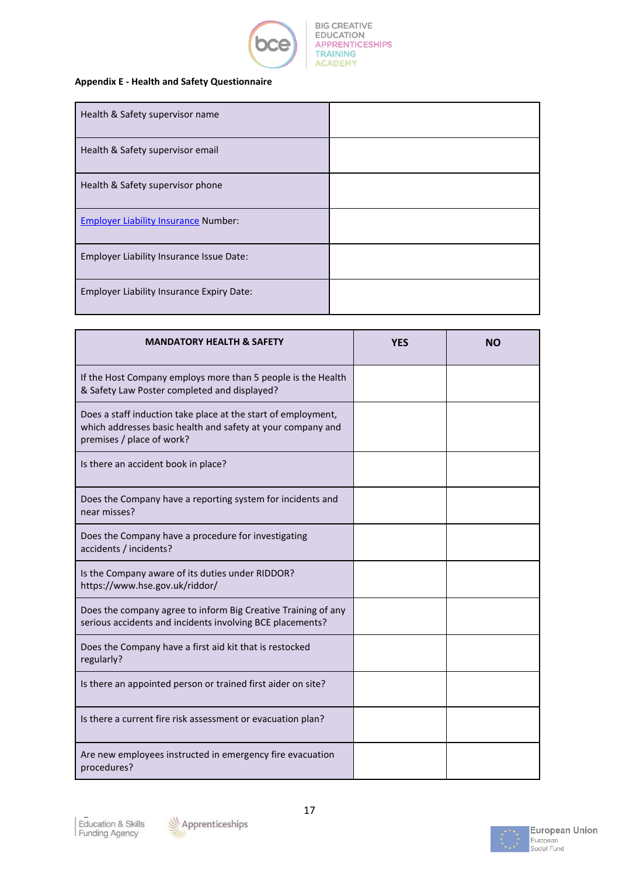

## **Appendix E - Health and Safety Questionnaire**

| Health & Safety supervisor name                  |  |
|--------------------------------------------------|--|
| Health & Safety supervisor email                 |  |
| Health & Safety supervisor phone                 |  |
| <b>Employer Liability Insurance Number:</b>      |  |
| Employer Liability Insurance Issue Date:         |  |
| <b>Employer Liability Insurance Expiry Date:</b> |  |

| <b>MANDATORY HEALTH &amp; SAFETY</b>                                                                                                                      | <b>YES</b> | NΟ |
|-----------------------------------------------------------------------------------------------------------------------------------------------------------|------------|----|
| If the Host Company employs more than 5 people is the Health<br>& Safety Law Poster completed and displayed?                                              |            |    |
| Does a staff induction take place at the start of employment,<br>which addresses basic health and safety at your company and<br>premises / place of work? |            |    |
| Is there an accident book in place?                                                                                                                       |            |    |
| Does the Company have a reporting system for incidents and<br>near misses?                                                                                |            |    |
| Does the Company have a procedure for investigating<br>accidents / incidents?                                                                             |            |    |
| Is the Company aware of its duties under RIDDOR?<br>https://www.hse.gov.uk/riddor/                                                                        |            |    |
| Does the company agree to inform Big Creative Training of any<br>serious accidents and incidents involving BCE placements?                                |            |    |
| Does the Company have a first aid kit that is restocked<br>regularly?                                                                                     |            |    |
| Is there an appointed person or trained first aider on site?                                                                                              |            |    |
| Is there a current fire risk assessment or evacuation plan?                                                                                               |            |    |
| Are new employees instructed in emergency fire evacuation<br>procedures?                                                                                  |            |    |



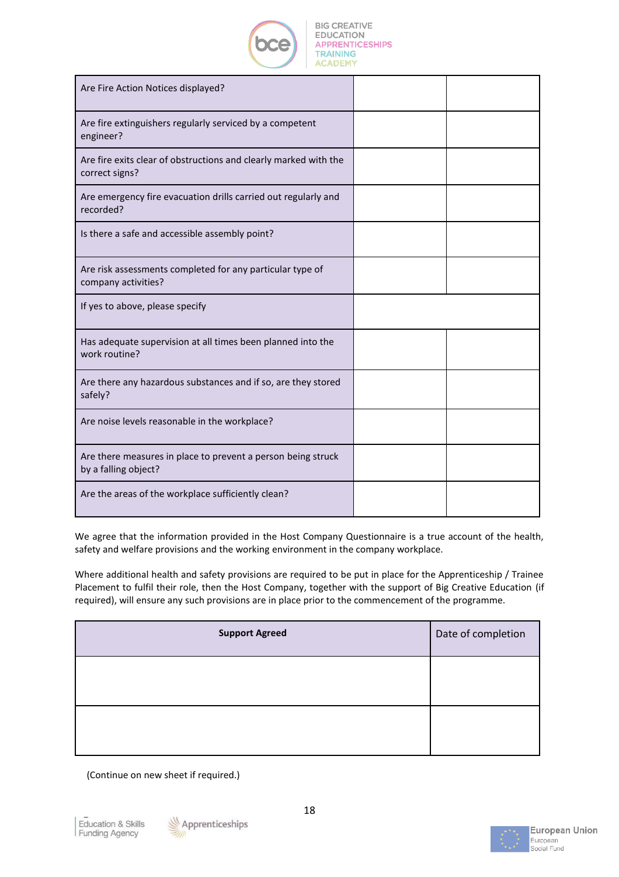

| Are Fire Action Notices displayed?                                                   |  |
|--------------------------------------------------------------------------------------|--|
| Are fire extinguishers regularly serviced by a competent<br>engineer?                |  |
| Are fire exits clear of obstructions and clearly marked with the<br>correct signs?   |  |
| Are emergency fire evacuation drills carried out regularly and<br>recorded?          |  |
| Is there a safe and accessible assembly point?                                       |  |
| Are risk assessments completed for any particular type of<br>company activities?     |  |
| If yes to above, please specify                                                      |  |
| Has adequate supervision at all times been planned into the<br>work routine?         |  |
| Are there any hazardous substances and if so, are they stored<br>safely?             |  |
| Are noise levels reasonable in the workplace?                                        |  |
| Are there measures in place to prevent a person being struck<br>by a falling object? |  |
| Are the areas of the workplace sufficiently clean?                                   |  |

We agree that the information provided in the Host Company Questionnaire is a true account of the health, safety and welfare provisions and the working environment in the company workplace.

Where additional health and safety provisions are required to be put in place for the Apprenticeship / Trainee Placement to fulfil their role, then the Host Company, together with the support of Big Creative Education (if required), will ensure any such provisions are in place prior to the commencement of the programme.

| <b>Support Agreed</b> | Date of completion |
|-----------------------|--------------------|
|                       |                    |
|                       |                    |

(Continue on new sheet if required.)



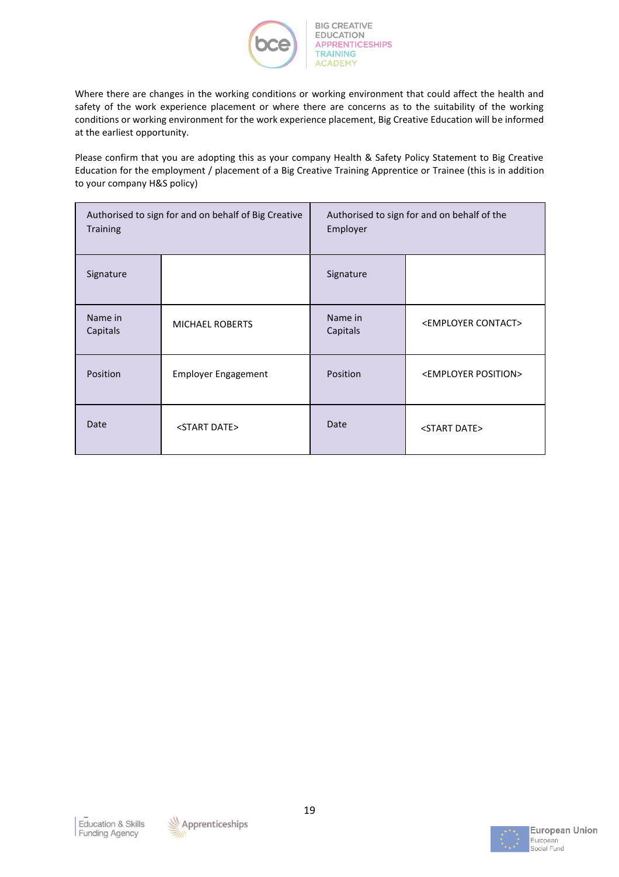

Where there are changes in the working conditions or working environment that could affect the health and safety of the work experience placement or where there are concerns as to the suitability of the working conditions or working environment for the work experience placement, Big Creative Education will be informed at the earliest opportunity.

Please confirm that you are adopting this as your company Health & Safety Policy Statement to Big Creative Education for the employment / placement of a Big Creative Training Apprentice or Trainee (this is in addition to your company H&S policy)

| Authorised to sign for and on behalf of Big Creative<br><b>Training</b> |                            | Authorised to sign for and on behalf of the<br>Employer |                                   |
|-------------------------------------------------------------------------|----------------------------|---------------------------------------------------------|-----------------------------------|
| Signature                                                               |                            | Signature                                               |                                   |
| Name in<br>Capitals                                                     | <b>MICHAEL ROBERTS</b>     | Name in<br>Capitals                                     | <employer contact=""></employer>  |
| Position                                                                | <b>Employer Engagement</b> | Position                                                | <employer position=""></employer> |
| Date                                                                    | <start date=""></start>    | Date                                                    | <start date=""></start>           |